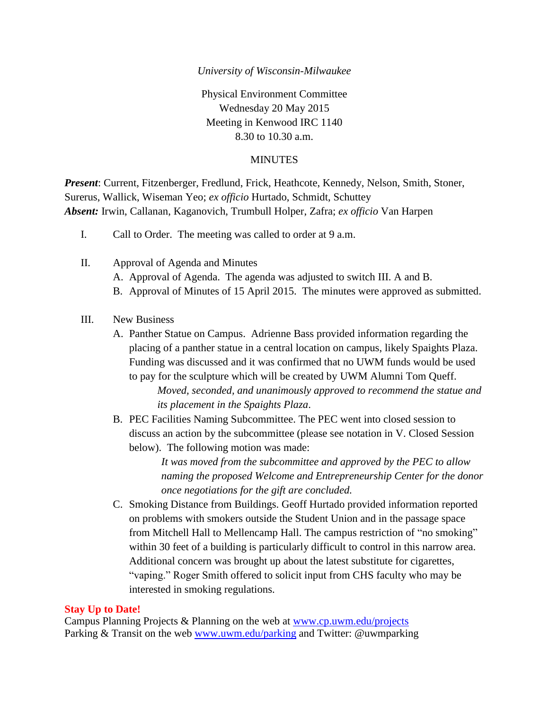### *University of Wisconsin-Milwaukee*

Physical Environment Committee Wednesday 20 May 2015 Meeting in Kenwood IRC 1140 8.30 to 10.30 a.m.

### MINUTES

*Present*: Current, Fitzenberger, Fredlund, Frick, Heathcote, Kennedy, Nelson, Smith, Stoner, Surerus, Wallick, Wiseman Yeo; *ex officio* Hurtado, Schmidt, Schuttey *Absent:* Irwin, Callanan, Kaganovich, Trumbull Holper, Zafra; *ex officio* Van Harpen

- I. Call to Order. The meeting was called to order at 9 a.m.
- II. Approval of Agenda and Minutes A. Approval of Agenda. The agenda was adjusted to switch III. A and B. B. Approval of Minutes of 15 April 2015. The minutes were approved as submitted.

## III. New Business

A. Panther Statue on Campus. Adrienne Bass provided information regarding the placing of a panther statue in a central location on campus, likely Spaights Plaza. Funding was discussed and it was confirmed that no UWM funds would be used to pay for the sculpture which will be created by UWM Alumni Tom Queff.

*Moved, seconded, and unanimously approved to recommend the statue and its placement in the Spaights Plaza*.

B. PEC Facilities Naming Subcommittee. The PEC went into closed session to discuss an action by the subcommittee (please see notation in V. Closed Session below). The following motion was made:

> *It was moved from the subcommittee and approved by the PEC to allow naming the proposed Welcome and Entrepreneurship Center for the donor once negotiations for the gift are concluded.*

C. Smoking Distance from Buildings. Geoff Hurtado provided information reported on problems with smokers outside the Student Union and in the passage space from Mitchell Hall to Mellencamp Hall. The campus restriction of "no smoking" within 30 feet of a building is particularly difficult to control in this narrow area. Additional concern was brought up about the latest substitute for cigarettes, "vaping." Roger Smith offered to solicit input from CHS faculty who may be interested in smoking regulations.

### **Stay Up to Date!**

Campus Planning Projects & Planning on the web at [www.cp.uwm.edu/projects](http://www.cp.uwm.edu/projects) Parking & Transit on the web [www.uwm.edu/parking](http://www.uwm.edu/parking) and Twitter: @uwmparking